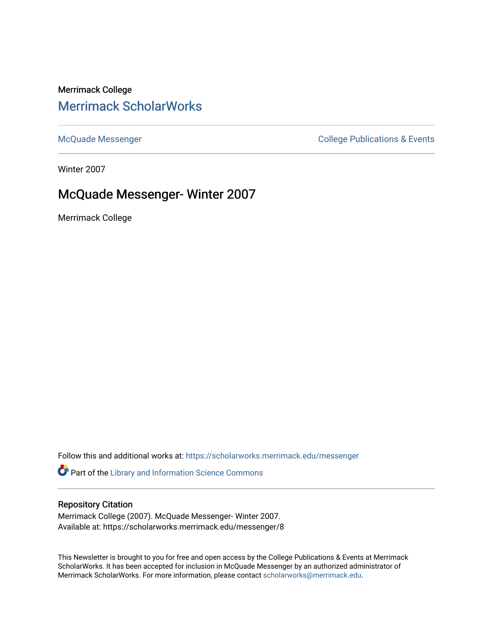### Merrimack College [Merrimack ScholarWorks](https://scholarworks.merrimack.edu/)

[McQuade Messenger](https://scholarworks.merrimack.edu/messenger) College Publications & Events

Winter 2007

### McQuade Messenger- Winter 2007

Merrimack College

Follow this and additional works at: [https://scholarworks.merrimack.edu/messenger](https://scholarworks.merrimack.edu/messenger?utm_source=scholarworks.merrimack.edu%2Fmessenger%2F8&utm_medium=PDF&utm_campaign=PDFCoverPages) 

Part of the [Library and Information Science Commons](http://network.bepress.com/hgg/discipline/1018?utm_source=scholarworks.merrimack.edu%2Fmessenger%2F8&utm_medium=PDF&utm_campaign=PDFCoverPages) 

#### Repository Citation

Merrimack College (2007). McQuade Messenger- Winter 2007. Available at: https://scholarworks.merrimack.edu/messenger/8

This Newsletter is brought to you for free and open access by the College Publications & Events at Merrimack ScholarWorks. It has been accepted for inclusion in McQuade Messenger by an authorized administrator of Merrimack ScholarWorks. For more information, please contact [scholarworks@merrimack.edu](mailto:scholarworks@merrimack.edu).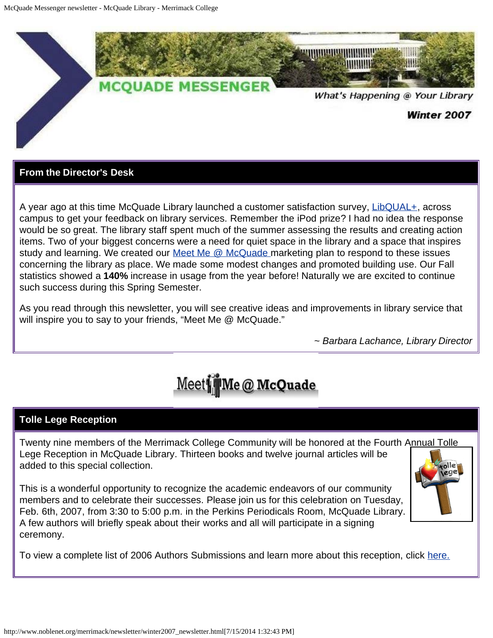

#### **From the Director's Desk**

A year ago at this time McQuade Library launched a customer satisfaction survey, [LibQUAL+](http://www.noblenet.org/merrimack/libqual.htm), across campus to get your feedback on library services. Remember the iPod prize? I had no idea the response would be so great. The library staff spent much of the summer assessing the results and creating action items. Two of your biggest concerns were a need for quiet space in the library and a space that inspires study and learning. We created our [Meet Me @ McQuade m](http://www.noblenet.org/merrimack/meetme.htm)arketing plan to respond to these issues concerning the library as place. We made some modest changes and promoted building use. Our Fall statistics showed a **140%** increase in usage from the year before! Naturally we are excited to continue such success during this Spring Semester.

As you read through this newsletter, you will see creative ideas and improvements in library service that will inspire you to say to your friends, "Meet Me @ McQuade."

*~ Barbara Lachance, Library Director*



#### **Tolle Lege Reception**

Twenty nine members of the Merrimack College Community will be honored at the Fourth Annual Tolle Lege Reception in McQuade Library. Thirteen books and twelve journal articles will be added to this special collection.

This is a wonderful opportunity to recognize the academic endeavors of our community members and to celebrate their successes. Please join us for this celebration on Tuesday, Feb. 6th, 2007, from 3:30 to 5:00 p.m. in the Perkins Periodicals Room, McQuade Library. A few authors will briefly speak about their works and all will participate in a signing ceremony.

To view a complete list of 2006 Authors Submissions and learn more about this reception, click [here.](http://www.merrimack.edu/bin/readmceventsnews.cgi?id=61)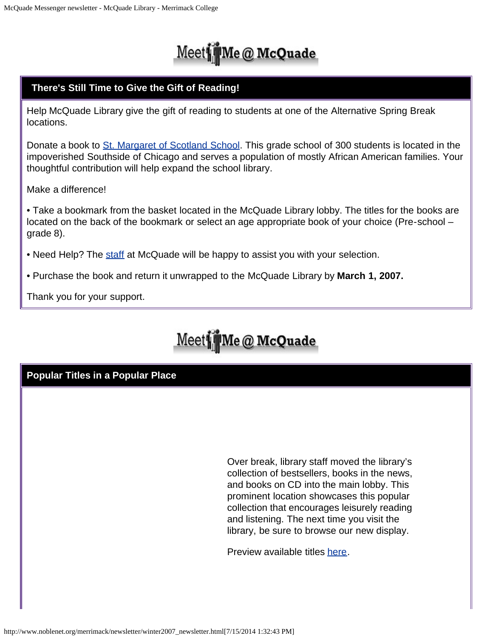# Meet Me @ McQuade

#### **There's Still Time to Give the Gift of Reading!**

Help McQuade Library give the gift of reading to students at one of the Alternative Spring Break locations.

Donate a book to [St. Margaret of Scotland School](http://www.stmargaretofscotland.com/). This grade school of 300 students is located in the impoverished Southside of Chicago and serves a population of mostly African American families. Your thoughtful contribution will help expand the school library.

Make a difference!

• Take a bookmark from the basket located in the McQuade Library lobby. The titles for the books are located on the back of the bookmark or select an age appropriate book of your choice (Pre-school – grade 8).

- Need Help? The [staff](http://www.noblenet.org/merrimack/staff.htm) at McQuade will be happy to assist you with your selection.
- Purchase the book and return it unwrapped to the McQuade Library by **March 1, 2007.**

Thank you for your support.

# Meet Me @ McQuade

#### **Popular Titles in a Popular Place**

Over break, library staff moved the library's collection of bestsellers, books in the news, and books on CD into the main lobby. This prominent location showcases this popular collection that encourages leisurely reading and listening. The next time you visit the library, be sure to browse our new display.

Preview available titles [here.](http://www.noblenet.org/merrimack/booklists/mcn.htm)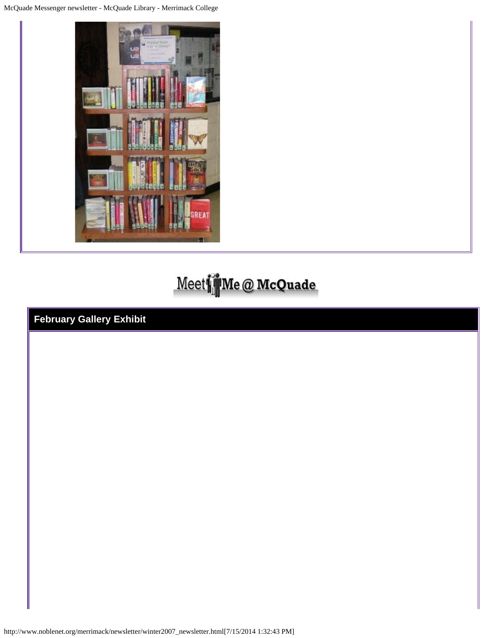McQuade Messenger newsletter - McQuade Library - Merrimack College



# Meet if Me @ McQuade

**February Gallery Exhibit**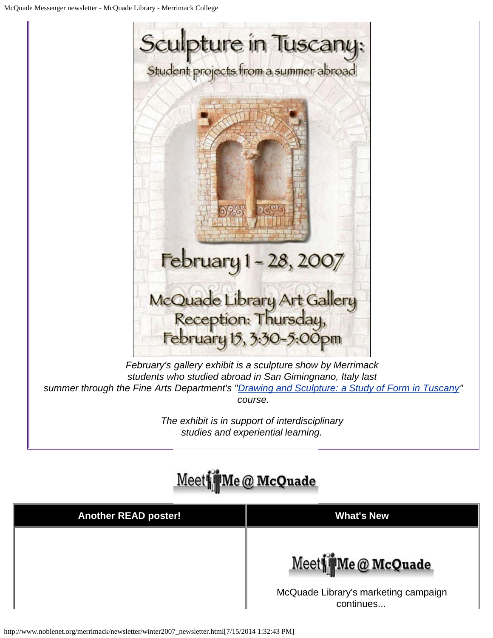

*February's gallery exhibit is a sculpture show by Merrimack students who studied abroad in San Gimingnano, Italy last summer through the Fine Arts Department's "[Drawing and Sculpture: a Study of Form in Tuscany](http://www.merrimack.edu/generator.php?id=2218)" course.*

> *The exhibit is in support of interdisciplinary studies and experiential learning.*

## Meet Me @ McQuade

| <b>Another READ poster!</b> | <b>What's New</b>                                                      |
|-----------------------------|------------------------------------------------------------------------|
|                             | Meet Me @ McQuade<br>McQuade Library's marketing campaign<br>continues |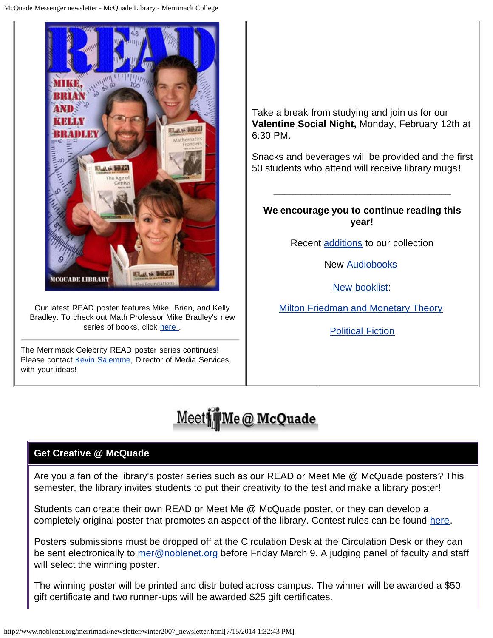

Our latest READ poster features Mike, Brian, and Kelly Bradley. To check out Math Professor Mike Bradley's new series of books, click here

The Merrimack Celebrity READ poster series continues! Please contact [Kevin Salemme](mailto:kevin.salemme@Merrimack.edu), Director of Media Services, with your ideas!

Take a break from studying and join us for our **Valentine Social Night,** Monday, February 12th at 6:30 PM.

Snacks and beverages will be provided and the first 50 students who attend will receive library mugs**!**

**We encourage you to continue reading this year!**

\_\_\_\_\_\_\_\_\_\_\_\_\_\_\_\_\_\_\_\_\_\_\_\_\_\_\_\_\_\_\_\_\_

Recent [additions](http://www.noblenet.org/merrimack/newsletter/booklists/2006_12.htm) to our collection

New [Audiobooks](http://www.noblenet.org/merrimack/newsletter/booklists/mcn_audio.htm)

[New booklist:](http://www.noblenet.org/merrimack/booklists/booklists.htm)

**[Milton Friedman and Monetary Theory](http://www.noblenet.org/merrimack/booklists/friedman.html)** 

[Political Fiction](http://www.noblenet.org/merrimack/booklists/polfic.html)

# Meet Me @ McQuade

#### **Get Creative @ McQuade**

Are you a fan of the library's poster series such as our READ or Meet Me @ McQuade posters? This semester, the library invites students to put their creativity to the test and make a library poster!

Students can create their own READ or Meet Me @ McQuade poster, or they can develop a completely original poster that promotes an aspect of the library. Contest rules can be found [here](http://www.noblenet.org/merrimack/weblog/2007/03/poster-contest_09.html).

Posters submissions must be dropped off at the Circulation Desk at the Circulation Desk or they can be sent electronically to [mer@noblenet.org](mailto:%20mer@noblenet.org) before Friday March 9. A judging panel of faculty and staff will select the winning poster.

The winning poster will be printed and distributed across campus. The winner will be awarded a \$50 gift certificate and two runner-ups will be awarded \$25 gift certificates.